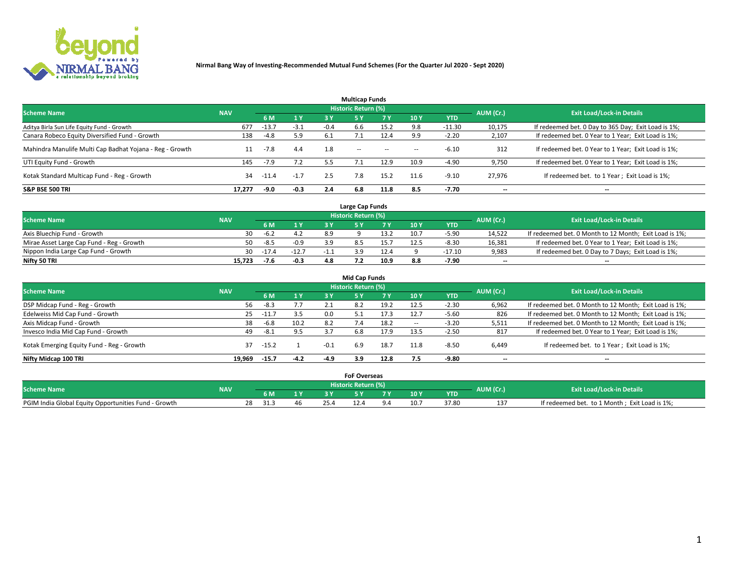

|                                                          |            |         |        |        | <b>Multicap Funds</b> |           |                          |            |           |                                                     |
|----------------------------------------------------------|------------|---------|--------|--------|-----------------------|-----------|--------------------------|------------|-----------|-----------------------------------------------------|
| <b>Scheme Name</b>                                       | <b>NAV</b> |         |        |        | Historic Return (%)   |           |                          |            | AUM (Cr.) | <b>Exit Load/Lock-in Details</b>                    |
|                                                          |            | 6 M     | 1 Y    | 3Y     | <b>5Y</b>             | <b>7Y</b> | 10Y                      | <b>YTD</b> |           |                                                     |
| Aditya Birla Sun Life Equity Fund - Growth               | 677        | $-13.7$ | $-3.1$ | $-0.4$ | 6.6                   | 15.2      | 9.8                      | $-11.30$   | 10,175    | If redeemed bet. 0 Day to 365 Day; Exit Load is 1%; |
| Canara Robeco Equity Diversified Fund - Growth           | 138        | $-4.8$  | 5.9    | 6.1    |                       | 12.4      | 9.9                      | $-2.20$    | 2,107     | If redeemed bet. 0 Year to 1 Year; Exit Load is 1%; |
| Mahindra Manulife Multi Cap Badhat Yojana - Reg - Growth | 11         | $-7.8$  | 4.4    | 1.8    | $\sim$ $-$            | --        | $\overline{\phantom{a}}$ | $-6.10$    | 312       | If redeemed bet. 0 Year to 1 Year; Exit Load is 1%; |
| UTI Equity Fund - Growth                                 | 145        | $-7.9$  | 7.2    | 5.5    |                       | 12.9      | 10.9                     | $-4.90$    | 9,750     | If redeemed bet. 0 Year to 1 Year; Exit Load is 1%; |
| Kotak Standard Multicap Fund - Reg - Growth              | 34         | $-11.4$ | $-1.7$ | 2.5    | 7.8                   | 15.2      | 11.6                     | $-9.10$    | 27.976    | If redeemed bet. to 1 Year; Exit Load is 1%;        |
| <b>S&amp;P BSE 500 TRI</b>                               | 17.277     | -9.0    | $-0.3$ | 2.4    | 6.8                   | 11.8      | 8.5                      | -7.70      | --        | $- -$                                               |

|                                           |            |         |         |     | Large Cap Funds     |      |      |            |                          |                                                        |
|-------------------------------------------|------------|---------|---------|-----|---------------------|------|------|------------|--------------------------|--------------------------------------------------------|
| <b>Scheme Name</b>                        | <b>NAV</b> |         |         |     | Historic Return (%) |      |      |            | AUM (Cr.)                | <b>Exit Load/Lock-in Details</b>                       |
|                                           |            |         | 1 Y     |     |                     |      | 10 Y | <b>YTD</b> |                          |                                                        |
| Axis Bluechip Fund - Growth               | 30         | -6.2    |         | 8.9 |                     | 13.2 | 10.7 | $-5.9C$    | 14.522                   | If redeemed bet. 0 Month to 12 Month; Exit Load is 1%; |
| Mirae Asset Large Cap Fund - Reg - Growth | 50         | -8.5    | $-0.9$  | 3 Q |                     |      |      | $-8.30$    | 16,381                   | If redeemed bet. 0 Year to 1 Year; Exit Load is 1%;    |
| Nippon India Large Cap Fund - Growth      | 30         | $-17.4$ | $-12.7$ |     |                     | 12.4 |      | $-17.10$   | 9,983                    | If redeemed bet. 0 Day to 7 Days; Exit Load is 1%;     |
| Nifty 50 TRI                              | 15.723     |         | $-0.3$  | 4 R |                     | 10.9 |      | $-7.90$    | $\overline{\phantom{a}}$ | $- -$                                                  |

|                                           |            |             |        |        | <b>Mid Cap Funds</b>       |      |            |            |                          |                                                        |
|-------------------------------------------|------------|-------------|--------|--------|----------------------------|------|------------|------------|--------------------------|--------------------------------------------------------|
| <b>Scheme Name</b>                        | <b>NAV</b> |             |        |        | <b>Historic Return (%)</b> |      |            |            | AUM (Cr.)                | <b>Exit Load/Lock-in Details</b>                       |
|                                           |            | 6 M         | 1 Y    | 3 Y    |                            | 7 V  | <b>10Y</b> | <b>YTD</b> |                          |                                                        |
| DSP Midcap Fund - Reg - Growth            | 56         | $-8.3$      | 7.7    | 2.1    | 8.2                        | 19.2 | 12.5       | $-2.30$    | 6,962                    | If redeemed bet. 0 Month to 12 Month; Exit Load is 1%; |
| Edelweiss Mid Cap Fund - Growth           |            | $25 - 11.7$ | 3.5    | 0.0    |                            | 17.3 | 12.7       | $-5.60$    | 826                      | If redeemed bet. 0 Month to 12 Month; Exit Load is 1%; |
| Axis Midcap Fund - Growth                 | 38         | $-6.8$      | 10.2   | 8.2    |                            | 18.2 | -          | $-3.20$    | 5,511                    | If redeemed bet. 0 Month to 12 Month; Exit Load is 1%; |
| Invesco India Mid Cap Fund - Growth       | 49         | $-8.1$      | 9.5    | 3.7    | 6.8                        | 17.9 | 13.5       | $-2.50$    | 817                      | If redeemed bet. 0 Year to 1 Year; Exit Load is 1%;    |
| Kotak Emerging Equity Fund - Reg - Growth | 37         | $-15.2$     |        | $-0.1$ | 6.9                        | 18.7 | 11.8       | $-8.50$    | 6,449                    | If redeemed bet. to 1 Year; Exit Load is 1%;           |
| Nifty Midcap 100 TRI                      | 19.969     | $-15.7$     | $-4.2$ | $-4.9$ | 3.9                        | 12.8 | 7.5        | -9.80      | $\overline{\phantom{a}}$ | $\overline{\phantom{a}}$                               |

|                                                      |            |            |      | <b>FoF Overseas</b>        |     |            |           |                                               |
|------------------------------------------------------|------------|------------|------|----------------------------|-----|------------|-----------|-----------------------------------------------|
| <b>Scheme Name</b>                                   | <b>NAV</b> |            |      | <b>Historic Return (%)</b> |     |            | AUM (Cr.) | <b>Exit Load/Lock-in Details</b>              |
|                                                      |            | 6 M        |      |                            | 10Y | <b>YTD</b> |           |                                               |
| PGIM India Global Equity Opportunities Fund - Growth |            | 28<br>31.3 | 25.4 |                            | 10. | 37.80      |           | If redeemed bet. to 1 Month; Exit Load is 1%; |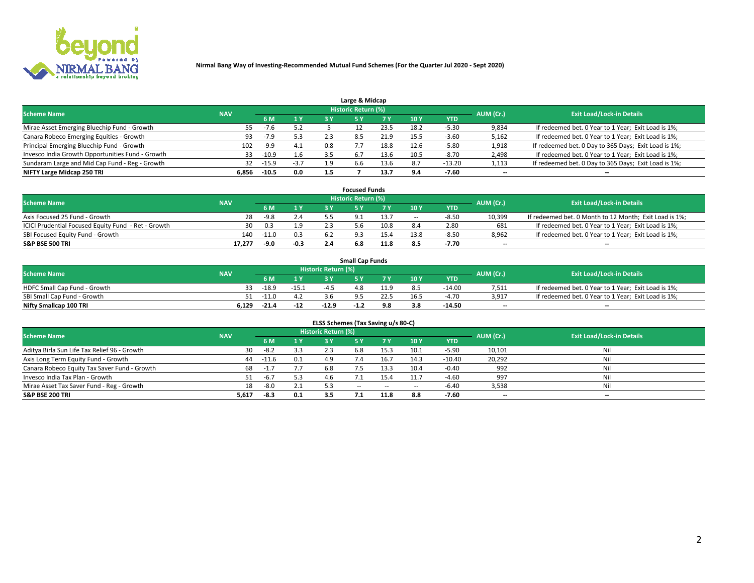

|                                                  |            |         |        |     | Large & Midcap             |      |      |          |                          |                                                      |
|--------------------------------------------------|------------|---------|--------|-----|----------------------------|------|------|----------|--------------------------|------------------------------------------------------|
| <b>Scheme Name</b>                               | <b>NAV</b> |         |        |     | <b>Historic Return (%)</b> |      |      |          | AUM (Cr.)                | <b>Exit Load/Lock-in Details</b>                     |
|                                                  |            | 6 M     | 1 Y    | 3 Y |                            | 7 V  | 10Y  | YTD      |                          |                                                      |
| Mirae Asset Emerging Bluechip Fund - Growth      | 55         | $-7.6$  | 5.2    |     |                            | 23.5 | 18.2 | -5.30    | 9,834                    | If redeemed bet. 0 Year to 1 Year; Exit Load is 1%;  |
| Canara Robeco Emerging Equities - Growth         | 93         | $-7.9$  | 5.3    |     | 8.5                        | 21.9 | 15.5 | $-3.60$  | 5,162                    | If redeemed bet. 0 Year to 1 Year; Exit Load is 1%;  |
| Principal Emerging Bluechip Fund - Growth        | 102        | $-9.9$  | 4.1    | 0.8 |                            | 18.8 | 12.6 | $-5.80$  | 1,918                    | If redeemed bet. 0 Day to 365 Days; Exit Load is 1%; |
| Invesco India Growth Opportunities Fund - Growth | 33         | $-10.9$ | 1.6    | 3.5 |                            | 13.6 | 10.5 | $-8.70$  | 2,498                    | If redeemed bet. 0 Year to 1 Year; Exit Load is 1%;  |
| Sundaram Large and Mid Cap Fund - Reg - Growth   | 32         | $-15.9$ | $-3.7$ | 1.9 | b.b                        | 13.6 | 8.7  | $-13.20$ | 1,113                    | If redeemed bet. 0 Day to 365 Days; Exit Load is 1%; |
| NIFTY Large Midcap 250 TRI                       | 6.856      | $-10.5$ | 0.0    | 1.5 |                            | 13.7 | 0 A  | -7.60    | $\overline{\phantom{a}}$ | $- -$                                                |

|                                                     |            |         |        | <b>Focused Funds</b>       |      |        |            |                          |                                                        |
|-----------------------------------------------------|------------|---------|--------|----------------------------|------|--------|------------|--------------------------|--------------------------------------------------------|
| <b>Scheme Name</b>                                  | <b>NAV</b> |         |        | <b>Historic Return (%)</b> |      |        |            | AUM (Cr.)                | <b>Exit Load/Lock-in Details</b>                       |
|                                                     |            | 6 M     | 1 Y    |                            |      | 10 Y   | <b>YTD</b> |                          |                                                        |
| Axis Focused 25 Fund - Growth                       | 28         | $-9.8$  | 2.4    |                            | 13.7 | $\sim$ | $-8.50$    | 10,399                   | If redeemed bet. 0 Month to 12 Month; Exit Load is 1%; |
| ICICI Prudential Focused Equity Fund - Ret - Growth | 30         | 0.3     | 1.9    | i h                        | 10.8 |        | 2.80       | 681                      | If redeemed bet. 0 Year to 1 Year; Exit Load is 1%;    |
| SBI Focused Equity Fund - Growth                    | 140        | $-11.0$ | 0.3    |                            |      |        | $-8.5c$    | 8,962                    | If redeemed bet. 0 Year to 1 Year; Exit Load is 1%;    |
| <b>S&amp;P BSE 500 TRI</b>                          | 17,277     | -9.0    | $-0.3$ |                            | 11.8 |        | -7.70      | $\overline{\phantom{a}}$ | $- -$                                                  |

| <b>Small Cap Funds</b>       |            |         |         |                     |      |      |           |                                  |       |                                                     |  |  |  |
|------------------------------|------------|---------|---------|---------------------|------|------|-----------|----------------------------------|-------|-----------------------------------------------------|--|--|--|
| <b>Scheme Name</b>           | <b>NAV</b> |         |         | Historic Return (%) |      |      | AUM (Cr.) | <b>Exit Load/Lock-in Details</b> |       |                                                     |  |  |  |
|                              |            | 6 M     | 1 Y     |                     |      |      | 10Y       | <b>YTD</b>                       |       |                                                     |  |  |  |
| HDFC Small Cap Fund - Growth |            | $-18.9$ | $-15.1$ | $-4$                |      |      |           | $-14.00$                         | 7,511 | If redeemed bet. 0 Year to 1 Year; Exit Load is 1%; |  |  |  |
| SBI Small Cap Fund - Growth  |            | $-11.0$ |         |                     | QE   | 22.5 |           | -4.70                            | 3,917 | If redeemed bet. 0 Year to 1 Year; Exit Load is 1%; |  |  |  |
| Nifty Smallcap 100 TRI       | 6.129      | $-21.4$ | $-12$   | $-12.9$             | -1.4 | 9.8  |           | $-14.50$                         | $- -$ | $- -$                                               |  |  |  |

| ELSS Schemes (Tax Saving u/s 80-C)           |            |         |     |                            |           |        |                          |            |                          |                                  |  |  |  |
|----------------------------------------------|------------|---------|-----|----------------------------|-----------|--------|--------------------------|------------|--------------------------|----------------------------------|--|--|--|
| <b>Scheme Name</b>                           | <b>NAV</b> |         |     | <b>Historic Return (%)</b> |           |        |                          |            | AUM (Cr.)                | <b>Exit Load/Lock-in Details</b> |  |  |  |
|                                              |            | - 6 M   | 1Y  | 3 Y                        | <b>5Y</b> | 7 Y    | 10 Y                     | <b>YTD</b> |                          |                                  |  |  |  |
| Aditya Birla Sun Life Tax Relief 96 - Growth | 30         | $-8.2$  | 3.3 |                            | 6.8       | 15.3   | 10.1                     | $-5.90$    | 10,101                   | Nil                              |  |  |  |
| Axis Long Term Equity Fund - Growth          | 44         | $-11.6$ | 0.1 | 4.9                        |           | 16.7   | 14.3                     | $-10.40$   | 20,292                   | Nil                              |  |  |  |
| Canara Robeco Equity Tax Saver Fund - Growth | 68         | $-1.7$  |     | 6.8                        | 7.5       | 13.3   | 10.4                     | $-0.40$    | 992                      | Nil                              |  |  |  |
| Invesco India Tax Plan - Growth              |            | $-6.7$  | 5.3 | 4.b                        |           | 15.4   | 11.7                     | $-4.60$    | 997                      | Nil                              |  |  |  |
| Mirae Asset Tax Saver Fund - Reg - Growth    | 18         | $-8.0$  | 2.1 |                            | $- -$     | $\sim$ | $\overline{\phantom{a}}$ | $-6.40$    | 3,538                    | Nil                              |  |  |  |
| S&P BSE 200 TRI                              | 5,617      | -8.3    | 0.1 | 3.5                        |           | 11.8   | 8.8                      | $-7.60$    | $\overline{\phantom{a}}$ | $- -$                            |  |  |  |

# 2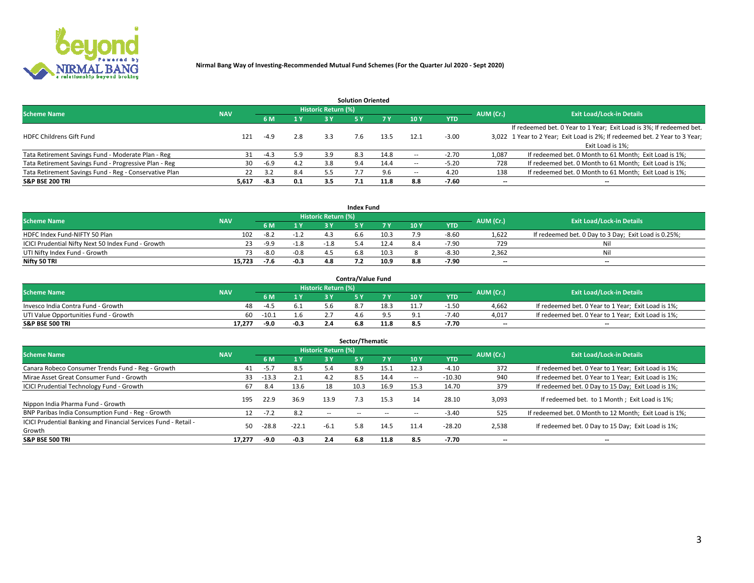

|                                                        |            |            |     |                            | <b>Solution Oriented</b> |      |                          |            |                          |                                                                             |
|--------------------------------------------------------|------------|------------|-----|----------------------------|--------------------------|------|--------------------------|------------|--------------------------|-----------------------------------------------------------------------------|
| <b>Scheme Name</b>                                     | <b>NAV</b> |            |     | <b>Historic Return (%)</b> |                          |      |                          |            | AUM (Cr.)                | <b>Exit Load/Lock-in Details</b>                                            |
|                                                        |            | <b>6 M</b> | 1 Y | 3 Y                        |                          |      | 10Y                      | <b>YTD</b> |                          |                                                                             |
|                                                        |            |            |     |                            |                          |      |                          |            |                          | If redeemed bet. 0 Year to 1 Year; Exit Load is 3%; If redeemed bet.        |
| <b>HDFC Childrens Gift Fund</b>                        | 121        | $-4.9$     | 2.8 | 3.3                        | 7.6                      | 13.5 | 12.1                     | $-3.00$    |                          | 3,022 1 Year to 2 Year; Exit Load is 2%; If redeemed bet. 2 Year to 3 Year; |
|                                                        |            |            |     |                            |                          |      |                          |            |                          | Exit Load is 1%:                                                            |
| Tata Retirement Savings Fund - Moderate Plan - Reg     | 31         | $-4.3$     | 5.9 | 3.9                        | 8.3                      | 14.8 |                          | $-2.70$    | 1,087                    | If redeemed bet. 0 Month to 61 Month; Exit Load is 1%;                      |
| Tata Retirement Savings Fund - Progressive Plan - Reg  | 30         | $-6.9$     | 4.2 | 3.8                        | 9.4                      | 14.4 | $\overline{\phantom{a}}$ | $-5.20$    | 728                      | If redeemed bet. 0 Month to 61 Month; Exit Load is 1%;                      |
| Tata Retirement Savings Fund - Reg - Conservative Plan | 22         | 3.2        | 8.4 | 5.5                        |                          | 9.6  | --                       | 4.20       | 138                      | If redeemed bet. 0 Month to 61 Month; Exit Load is 1%;                      |
| S&P BSE 200 TRI                                        | 5,617      | $-8.3$     | 0.1 | 3.5                        |                          | 11.8 | 8.8                      | $-7.60$    | $\overline{\phantom{a}}$ | $- -$                                                                       |

|                                                    |            |        |              |                     | <b>Index Fund</b> |      |      |            |                          |                                                      |
|----------------------------------------------------|------------|--------|--------------|---------------------|-------------------|------|------|------------|--------------------------|------------------------------------------------------|
| <b>Scheme Name</b>                                 | <b>NAV</b> |        |              | Historic Return (%) |                   |      |      |            | AUM (Cr.)                | <b>Exit Load/Lock-in Details</b>                     |
|                                                    |            |        | $\sqrt{1}$ V | 2 V                 |                   | 7 V  | 10 Y | <b>YTD</b> |                          |                                                      |
| HDFC Index Fund-NIFTY 50 Plan                      | 102        | $-8.2$ | -1.2         |                     | o.b               | 10.3 |      | $-8.60$    | 1,622                    | If redeemed bet. 0 Day to 3 Day; Exit Load is 0.25%; |
| ICICI Prudential Nifty Next 50 Index Fund - Growth |            | $-9.9$ | $-1.8$       | $-1.8$              |                   |      |      | $-7.90$    | 729                      | Nil                                                  |
| UTI Nifty Index Fund - Growth                      |            | $-8.0$ | $-0.8$       |                     |                   | 10.3 |      | $-8.3C$    | 2,362                    | Nil                                                  |
| Nifty 50 TRI                                       | 15.723     | $-7.6$ | $-0.3$       | 48                  |                   | 10.9 |      | -7.90      | $\overline{\phantom{a}}$ | $- -$                                                |

|                                       |            |         |        |                            | <b>Contra/Value Fund</b> |      |     |            |                          |                                                     |
|---------------------------------------|------------|---------|--------|----------------------------|--------------------------|------|-----|------------|--------------------------|-----------------------------------------------------|
| <b>Scheme Name</b>                    | <b>NAV</b> |         |        | <b>Historic Return (%)</b> |                          |      |     |            | AUM (Cr.)                | <b>Exit Load/Lock-in Details</b>                    |
|                                       |            |         | 1 V    |                            |                          | 7 V  | 10Y | <b>YTD</b> |                          |                                                     |
| Invesco India Contra Fund - Growth    | 48         | -4.5    | 6.1    |                            |                          | 18.5 |     | 1.50       | 4.662                    | If redeemed bet. 0 Year to 1 Year; Exit Load is 1%; |
| UTI Value Opportunities Fund - Growth | 60         | $-10.1$ | 1.6    |                            |                          |      |     | $-7.40$    | 4,017                    | If redeemed bet. 0 Year to 1 Year; Exit Load is 1%; |
| <b>S&amp;P BSE 500 TRI</b>            | 17.277     | -9.0    | $-0.3$ |                            | 6.8                      |      |     | -7.70      | $\overline{\phantom{a}}$ | $- -$                                               |

| Sector/Thematic                                                           |            |         |         |                     |      |           |                          |            |           |                                                        |  |  |  |  |
|---------------------------------------------------------------------------|------------|---------|---------|---------------------|------|-----------|--------------------------|------------|-----------|--------------------------------------------------------|--|--|--|--|
| <b>Scheme Name</b>                                                        | <b>NAV</b> |         |         | Historic Return (%) |      |           |                          |            | AUM (Cr.) | <b>Exit Load/Lock-in Details</b>                       |  |  |  |  |
|                                                                           |            | 6 M     | 1Y      | 3 Y                 | 5 Y  | <b>7Y</b> | 10Y                      | <b>YTD</b> |           |                                                        |  |  |  |  |
| Canara Robeco Consumer Trends Fund - Reg - Growth                         | 41         | $-5.7$  | 8.5     | 5.4                 | 8.9  | 15.1      | 12.3                     | $-4.10$    | 372       | If redeemed bet. 0 Year to 1 Year; Exit Load is 1%;    |  |  |  |  |
| Mirae Asset Great Consumer Fund - Growth                                  | 33         | $-13.3$ | 2.1     | 4.2                 | 8.5  | 14.4      | $\overline{\phantom{a}}$ | $-10.30$   | 940       | If redeemed bet. 0 Year to 1 Year; Exit Load is 1%;    |  |  |  |  |
| <b>ICICI Prudential Technology Fund - Growth</b>                          | 67         | 8.4     | 13.6    | 18                  | 10.3 | 16.9      | 15.3                     | 14.70      | 379       | If redeemed bet. 0 Day to 15 Day; Exit Load is 1%;     |  |  |  |  |
| Nippon India Pharma Fund - Growth                                         | 195        | 22.9    | 36.9    | 13.9                | 7.3  | 15.3      | 14                       | 28.10      | 3,093     | If redeemed bet. to 1 Month; Exit Load is 1%;          |  |  |  |  |
| BNP Paribas India Consumption Fund - Reg - Growth                         |            | $-7.2$  | 8.2     | $\sim$ $-$          |      |           |                          | $-3.40$    | 525       | If redeemed bet. 0 Month to 12 Month; Exit Load is 1%; |  |  |  |  |
| ICICI Prudential Banking and Financial Services Fund - Retail -<br>Growth | 50         | $-28.8$ | $-22.1$ | $-6.1$              | 5.8  | 14.5      | 11.4                     | $-28.20$   | 2,538     | If redeemed bet. 0 Day to 15 Day; Exit Load is 1%;     |  |  |  |  |
| <b>S&amp;P BSE 500 TRI</b>                                                | 17.277     | -9.0    | $-0.3$  | 2.4                 | 6.8  | 11.8      | 8.5                      | $-7.70$    | --        | $- -$                                                  |  |  |  |  |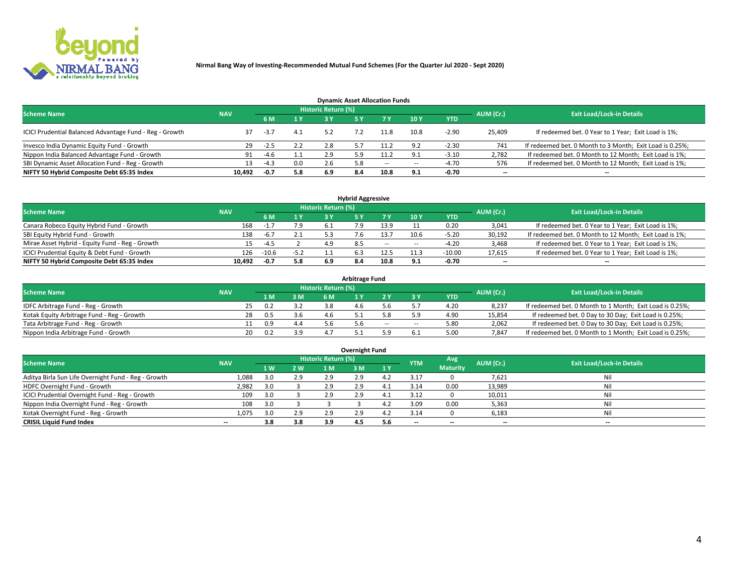

| <b>Dynamic Asset Allocation Funds</b>                   |                                                         |        |     |     |     |      |        |            |                          |                                                          |  |  |  |  |  |
|---------------------------------------------------------|---------------------------------------------------------|--------|-----|-----|-----|------|--------|------------|--------------------------|----------------------------------------------------------|--|--|--|--|--|
|                                                         | Historic Return (%)<br><b>Scheme Name</b><br><b>NAV</b> |        |     |     |     |      |        |            |                          |                                                          |  |  |  |  |  |
|                                                         |                                                         | 6 M    | 1 Y | 2 V |     |      | 10Y    | <b>YTD</b> | AUM (Cr.)                | <b>Exit Load/Lock-in Details</b>                         |  |  |  |  |  |
| ICICI Prudential Balanced Advantage Fund - Reg - Growth |                                                         | $-3.7$ | 4.1 |     |     | 11.8 | 10.8   | $-2.90$    | 25,409                   | If redeemed bet. 0 Year to 1 Year; Exit Load is 1%;      |  |  |  |  |  |
| Invesco India Dynamic Equity Fund - Growth              | 29                                                      | -2.5   | 2.2 | 2.8 |     | 11.2 | 9.2    | $-2.30$    | 741                      | If redeemed bet. 0 Month to 3 Month; Exit Load is 0.25%; |  |  |  |  |  |
| Nippon India Balanced Advantage Fund - Growth           | 91                                                      | $-4.6$ | 1.1 | 2.9 |     | 11.2 | Q 1    | $-3.10$    | 2,782                    | If redeemed bet. 0 Month to 12 Month; Exit Load is 1%;   |  |  |  |  |  |
| SBI Dynamic Asset Allocation Fund - Reg - Growth        |                                                         | $-4.3$ | 0.0 | 2.6 | 5.8 | --   | $\sim$ | -4.70      | 576                      | If redeemed bet. 0 Month to 12 Month; Exit Load is 1%;   |  |  |  |  |  |
| NIFTY 50 Hybrid Composite Debt 65:35 Index              | 10.492                                                  | $-0.7$ | 5.8 | 6.9 | 8.4 | 10.8 | 9.1    | $-0.70$    | $\overline{\phantom{a}}$ |                                                          |  |  |  |  |  |

| <b>Hybrid Aggressive</b>                        |            |         |        |                            |     |        |      |            |                          |                                                        |  |  |  |  |
|-------------------------------------------------|------------|---------|--------|----------------------------|-----|--------|------|------------|--------------------------|--------------------------------------------------------|--|--|--|--|
| <b>Scheme Name</b>                              | <b>NAV</b> |         |        | <b>Historic Return (%)</b> |     |        |      |            | AUM (Cr.)                | <b>Exit Load/Lock-in Details</b>                       |  |  |  |  |
|                                                 |            | 6 M     | 1 Y    | 3 ۷                        |     | 7 V    | 10Y  | <b>YTD</b> |                          |                                                        |  |  |  |  |
| Canara Robeco Equity Hybrid Fund - Growth       | 168        |         | 7.9    |                            |     |        |      | 0.20       | 3,041                    | If redeemed bet. 0 Year to 1 Year; Exit Load is 1%;    |  |  |  |  |
| SBI Equity Hybrid Fund - Growth                 | 138        | $-6.7$  | 2.1    |                            |     | 13.7   | 10.6 | $-5.20$    | 30,192                   | If redeemed bet. 0 Month to 12 Month; Exit Load is 1%; |  |  |  |  |
| Mirae Asset Hybrid - Equity Fund - Reg - Growth | 15         | -4.5    |        | 4.9                        | 8.5 | $\sim$ | --   | $-4.20$    | 3,468                    | If redeemed bet. 0 Year to 1 Year; Exit Load is 1%;    |  |  |  |  |
| ICICI Prudential Equity & Debt Fund - Growth    | 126        | $-10.6$ | $-5.2$ |                            |     | 12.5   |      | $-10.00$   | 17,615                   | If redeemed bet. 0 Year to 1 Year; Exit Load is 1%;    |  |  |  |  |
| NIFTY 50 Hybrid Composite Debt 65:35 Index      | 10.492     | -0.7    | 5.8    | 6.9                        |     | 10.8   | 9.1  | -0.70      | $\overline{\phantom{a}}$ | $- -$                                                  |  |  |  |  |

| <b>Arbitrage Fund</b>                      |            |       |     |                     |  |       |    |            |           |                                                          |  |  |  |  |
|--------------------------------------------|------------|-------|-----|---------------------|--|-------|----|------------|-----------|----------------------------------------------------------|--|--|--|--|
| <b>Scheme Name</b>                         | <b>NAV</b> |       |     | Historic Return (%) |  |       |    |            | AUM (Cr.) | <b>Exit Load/Lock-in Details</b>                         |  |  |  |  |
|                                            |            | 1 M   | 3 M |                     |  |       |    | <b>YTD</b> |           |                                                          |  |  |  |  |
| IDFC Arbitrage Fund - Reg - Growth         |            |       |     | 3.8                 |  |       |    | 4.20       | 8,237     | If redeemed bet. 0 Month to 1 Month; Exit Load is 0.25%; |  |  |  |  |
| Kotak Equity Arbitrage Fund - Reg - Growth | 28         | . 0.5 |     | 4.6                 |  |       |    | 4.90       | 15,854    | If redeemed bet. 0 Day to 30 Day; Exit Load is 0.25%;    |  |  |  |  |
| Tata Arbitrage Fund - Reg - Growth         |            | 0.9   | 4.4 |                     |  | $- -$ | -- | 5.80       | 2,062     | If redeemed bet. 0 Day to 30 Day; Exit Load is 0.25%;    |  |  |  |  |
| Nippon India Arbitrage Fund - Growth       | 20         |       |     |                     |  |       |    | 5.00       | 7,847     | If redeemed bet. 0 Month to 1 Month; Exit Load is 0.25%; |  |  |  |  |

| <b>Overnight Fund</b>                               |            |     |     |                     |     |     |            |                 |                          |                                  |  |  |  |  |
|-----------------------------------------------------|------------|-----|-----|---------------------|-----|-----|------------|-----------------|--------------------------|----------------------------------|--|--|--|--|
| <b>Scheme Name</b>                                  | <b>NAV</b> |     |     | Historic Return (%) |     |     | <b>YTM</b> | Avg             | AUM (Cr.)                | <b>Exit Load/Lock-in Details</b> |  |  |  |  |
|                                                     |            | 1W  | 2 W | 1 M                 | 3 M |     |            | <b>Maturity</b> |                          |                                  |  |  |  |  |
| Aditya Birla Sun Life Overnight Fund - Reg - Growth | 1,088      |     | 2.9 | 2.9                 | 2.9 |     | 3.1        |                 | 7,621                    | Nil                              |  |  |  |  |
| HDFC Overnight Fund - Growth                        | 2,982      |     |     | 2.9                 | 2.9 |     | .14        | 0.00            | 13,989                   | Nil                              |  |  |  |  |
| ICICI Prudential Overnight Fund - Reg - Growth      | 109        |     |     | 2.9                 | 2.9 |     | 3.12       |                 | 10,011                   | Nil                              |  |  |  |  |
| Nippon India Overnight Fund - Reg - Growth          | 108        | 3.0 |     |                     |     |     | 3.09       | 0.00            | 5,363                    | Nil                              |  |  |  |  |
| Kotak Overnight Fund - Reg - Growth                 | 1,075      |     | 2.9 | 2.9                 | 2.9 | 4.2 | 3.14       |                 | 6,183                    | Nil                              |  |  |  |  |
| <b>CRISIL Liquid Fund Index</b>                     | $- -$      | 3.8 | 3.8 | 3.9                 | 4.5 | 5.6 | --         | --              | $\overline{\phantom{a}}$ | $- -$                            |  |  |  |  |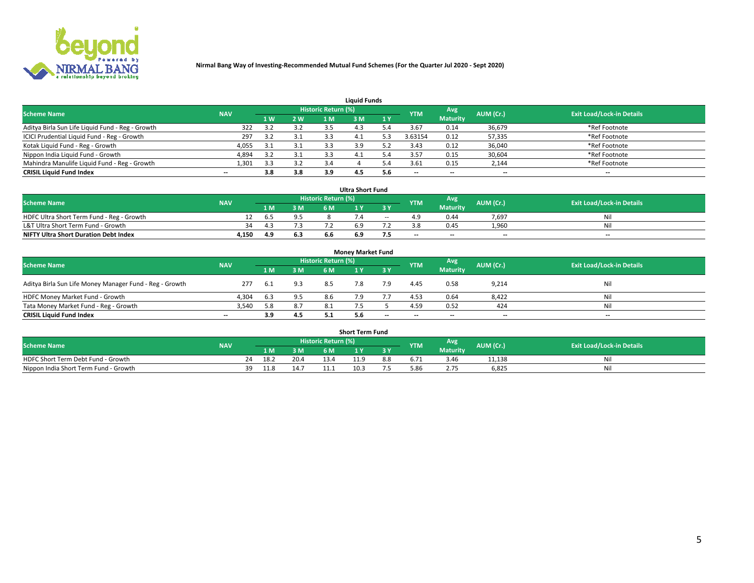

| <b>Liquid Funds</b>                              |            |     |     |                     |      |     |            |                 |                          |                                  |  |  |  |  |
|--------------------------------------------------|------------|-----|-----|---------------------|------|-----|------------|-----------------|--------------------------|----------------------------------|--|--|--|--|
| <b>Scheme Name</b>                               | <b>NAV</b> |     |     | Historic Return (%) |      |     | <b>YTM</b> | Avg             | AUM (Cr.)                | <b>Exit Load/Lock-in Details</b> |  |  |  |  |
|                                                  |            | 1 W | 2 W | 1 M                 | ዩ M  | 1Y  |            | <b>Maturity</b> |                          |                                  |  |  |  |  |
| Aditya Birla Sun Life Liquid Fund - Reg - Growth | 322        |     | 3.2 |                     |      |     | 3.67       | 0.14            | 36,679                   | *Ref Footnote                    |  |  |  |  |
| ICICI Prudential Liquid Fund - Reg - Growth      | 297        |     | 3.1 |                     | -4.1 |     | 3.63154    | 0.12            | 57,335                   | *Ref Footnote                    |  |  |  |  |
| Kotak Liquid Fund - Reg - Growth                 | 4,055      |     | 3.1 |                     | 3.9  |     | 3.43       | 0.12            | 36,040                   | *Ref Footnote                    |  |  |  |  |
| Nippon India Liquid Fund - Growth                | 4,894      | 3.2 | 3.1 |                     | -4.1 | 5.4 | 3.57       | 0.15            | 30,604                   | *Ref Footnote                    |  |  |  |  |
| Mahindra Manulife Liquid Fund - Reg - Growth     | 1,301      | 3.3 | 3.2 | 3.4                 |      | 5.4 | 3.61       | 0.15            | 2,144                    | *Ref Footnote                    |  |  |  |  |
| <b>CRISIL Liquid Fund Index</b>                  | $- -$      | 3.8 | 3.8 | 3.9                 | 4.5  | 5.6 | $- -$      | $- -$           | $\overline{\phantom{a}}$ | $\hspace{0.05cm} \cdots$         |  |  |  |  |

| <b>Ultra Short Fund</b>                      |            |      |     |                     |     |       |            |                 |                          |                                  |  |  |  |
|----------------------------------------------|------------|------|-----|---------------------|-----|-------|------------|-----------------|--------------------------|----------------------------------|--|--|--|
| <b>Scheme Name</b>                           | <b>NAV</b> |      |     | Historic Return (%) |     |       | <b>YTM</b> | Avg             | AUM (Cr.)                | <b>Exit Load/Lock-in Details</b> |  |  |  |
|                                              |            | 1 M. | 3 M | 6 M                 | 1 Y |       |            | <b>Maturity</b> |                          |                                  |  |  |  |
| HDFC Ultra Short Term Fund - Reg - Growth    |            | b.5  |     |                     |     | $- -$ |            | 0.44            | 7.697                    | Ni                               |  |  |  |
| L&T Ultra Short Term Fund - Growth           | 34         |      |     |                     |     |       |            | 0.45            | 1,960                    | Ni                               |  |  |  |
| <b>NIFTY Ultra Short Duration Debt Index</b> | 4,150      |      | 6.3 |                     | 6.9 | כ.,   | $-$        | $- -$           | $\overline{\phantom{a}}$ | $-$                              |  |  |  |

| <b>Money Market Fund</b>                                |            |       |     |                     |     |       |                          |                 |                          |                                  |  |  |  |  |
|---------------------------------------------------------|------------|-------|-----|---------------------|-----|-------|--------------------------|-----------------|--------------------------|----------------------------------|--|--|--|--|
| <b>Scheme Name</b>                                      | <b>NAV</b> |       |     | Historic Return (%) |     |       | <b>YTM</b>               | Avg             | AUM (Cr.)                | <b>Exit Load/Lock-in Details</b> |  |  |  |  |
|                                                         |            | 1 M   | 3 M | 6 M                 |     | 3 Y   |                          | <b>Maturity</b> |                          |                                  |  |  |  |  |
| Aditya Birla Sun Life Money Manager Fund - Reg - Growth | 277        | - 6.1 | 9.3 | 8.5                 |     | 7.9   | 4.45                     | 0.58            | 9,214                    | Nil                              |  |  |  |  |
| HDFC Money Market Fund - Growth                         | 4.304      | -6.3  | 9.5 | 8.6                 |     |       | 4.53                     | 0.64            | 8,422                    | Nil                              |  |  |  |  |
| Tata Money Market Fund - Reg - Growth                   | 3,540      | 5.8   | 8.7 | 8.1                 |     |       | 4.59                     | 0.52            | 424                      | Nil                              |  |  |  |  |
| <b>CRISIL Liquid Fund Index</b>                         | $- -$      | 3.9   | 4.5 |                     | 5.6 | $- -$ | $\overline{\phantom{a}}$ | $- -$           | $\overline{\phantom{a}}$ | $\overline{\phantom{a}}$         |  |  |  |  |

|                                       |            |       |      |                     | <b>Short Term Fund</b> |     |      |                 |           |                                  |
|---------------------------------------|------------|-------|------|---------------------|------------------------|-----|------|-----------------|-----------|----------------------------------|
| <b>Scheme Name</b>                    | <b>NAV</b> |       |      | Historic Return (%) |                        |     | YTM  | Avg             | AUM (Cr.) | <b>Exit Load/Lock-in Details</b> |
|                                       |            | 1 M . | 3 M  | 6 M                 |                        | 2V  |      | <b>Maturity</b> |           |                                  |
| HDFC Short Term Debt Fund - Growth    |            | 18.2  | 20.4 |                     | 11.9                   | 8.8 |      | 3.46            | 11,138    | M                                |
| Nippon India Short Term Fund - Growth | 39         | 11.8  | 14.7 |                     | 10.5                   |     | 5.86 |                 | 6,825     | N                                |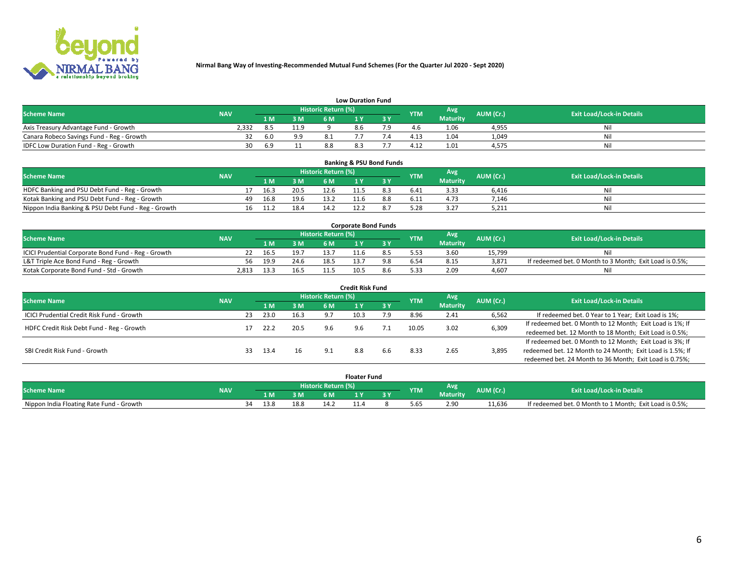

|                                           | <b>Low Duration Fund</b> |              |      |                            |  |     |            |                 |           |                                  |  |  |  |  |  |
|-------------------------------------------|--------------------------|--------------|------|----------------------------|--|-----|------------|-----------------|-----------|----------------------------------|--|--|--|--|--|
| <b>Scheme Name</b>                        | <b>NAV</b>               |              |      | <b>Historic Return (%)</b> |  |     | <b>YTM</b> | <b>Avg</b>      | AUM (Cr.) | <b>Exit Load/Lock-in Details</b> |  |  |  |  |  |
|                                           |                          | 1 M          | 3 M  |                            |  | 3 Y |            | <b>Maturity</b> |           |                                  |  |  |  |  |  |
| Axis Treasury Advantage Fund - Growth     | 2.332                    |              | 11.9 |                            |  |     |            | 1.06            | 4,955     | Nil                              |  |  |  |  |  |
| Canara Robeco Savings Fund - Reg - Growth |                          | 6.0          | 9.9  |                            |  |     | 4.13       | 1.04            | 1,049     | Nil                              |  |  |  |  |  |
| IDFC Low Duration Fund - Reg - Growth     | 30                       | $n^{\Omega}$ |      |                            |  |     | 4.12       | 1.01            | 4,575     | Nil                              |  |  |  |  |  |

| <b>Banking &amp; PSU Bond Funds</b>                 |            |    |      |      |                            |      |  |            |                 |           |                                  |  |  |  |
|-----------------------------------------------------|------------|----|------|------|----------------------------|------|--|------------|-----------------|-----------|----------------------------------|--|--|--|
| <b>Scheme Name</b>                                  | <b>NAV</b> |    |      |      | <b>Historic Return (%)</b> |      |  | <b>YTM</b> | Avg             | AUM (Cr.) | <b>Exit Load/Lock-in Details</b> |  |  |  |
|                                                     |            |    |      | 3 M  | 6 M                        |      |  |            | <b>Maturity</b> |           |                                  |  |  |  |
| HDFC Banking and PSU Debt Fund - Reg - Growth       |            |    | 16.3 | 20.5 | 12.6                       | 11.5 |  | 6.41       | 3.33            | 6.416     | Nil                              |  |  |  |
| Kotak Banking and PSU Debt Fund - Reg - Growth      |            | 49 | 16.8 | 19.6 | 13.2                       |      |  | 6.11       | 4.73            | 7,146     | Nil                              |  |  |  |
| Nippon India Banking & PSU Debt Fund - Reg - Growth |            | 16 | 11.7 | 18.4 | 14.2                       |      |  | 5.28       | 3.27            | 5,211     | Ni                               |  |  |  |

| <b>Corporate Bond Funds</b>                         |            |      |      |                            |      |  |            |                 |           |                                                         |  |  |  |  |
|-----------------------------------------------------|------------|------|------|----------------------------|------|--|------------|-----------------|-----------|---------------------------------------------------------|--|--|--|--|
| <b>Scheme Name</b>                                  | <b>NAV</b> |      |      | <b>Historic Return (%)</b> |      |  | <b>YTM</b> | Avg             | AUM (Cr.) | <b>Exit Load/Lock-in Details</b>                        |  |  |  |  |
|                                                     |            |      | 3 M  | 6 M                        |      |  |            | <b>Maturity</b> |           |                                                         |  |  |  |  |
| ICICI Prudential Corporate Bond Fund - Reg - Growth |            | 16.5 | 19.7 |                            |      |  |            | 3.60            | 15.799    | Nil                                                     |  |  |  |  |
| L&T Triple Ace Bond Fund - Reg - Growth             | 56         | 19.9 | 24.6 | 18.5                       |      |  |            | 8.15            | 3,871     | If redeemed bet. 0 Month to 3 Month; Exit Load is 0.5%; |  |  |  |  |
| Kotak Corporate Bond Fund - Std - Growth            | 2.813      | L3.3 | 16.5 |                            | 10.5 |  | 5.33       | 2.09            | 4.607     | Nil                                                     |  |  |  |  |

| <b>Credit Risk Fund</b>                    |            |    |      |      |                            |      |       |            |                 |           |                                                           |  |
|--------------------------------------------|------------|----|------|------|----------------------------|------|-------|------------|-----------------|-----------|-----------------------------------------------------------|--|
| <b>Scheme Name</b>                         | <b>NAV</b> |    |      |      | <b>Historic Return (%)</b> |      |       | <b>YTM</b> | Avg             | AUM (Cr.) | <b>Exit Load/Lock-in Details</b>                          |  |
|                                            |            |    | 1 M  | 3 M  | 6 M                        |      | 73 Y. |            | <b>Maturity</b> |           |                                                           |  |
| ICICI Prudential Credit Risk Fund - Growth |            | 23 | 23.0 | 16.3 |                            | 10.3 | و.י   | 8.96       | 2.41            | 6,562     | If redeemed bet. 0 Year to 1 Year; Exit Load is 1%;       |  |
| HDFC Credit Risk Debt Fund - Reg - Growth  |            |    | 22.2 | 20.5 |                            |      |       | 10.05      | 3.02            | 6,309     | If redeemed bet. 0 Month to 12 Month; Exit Load is 1%; If |  |
|                                            |            |    |      |      | 9.6                        |      |       |            |                 |           | redeemed bet. 12 Month to 18 Month; Exit Load is 0.5%;    |  |
|                                            |            |    |      |      |                            |      |       |            |                 |           | If redeemed bet. 0 Month to 12 Month; Exit Load is 3%; If |  |
| SBI Credit Risk Fund - Growth              |            | 33 | 13.4 | 16   |                            | 8.8  | 6.6   | 8.33       | 2.65            | 3,895     | redeemed bet. 12 Month to 24 Month; Exit Load is 1.5%; If |  |
|                                            |            |    |      |      |                            |      |       |            |                 |           | redeemed bet. 24 Month to 36 Month; Exit Load is 0.75%;   |  |

| <b>Floater Fund</b>                      |            |    |                            |      |      |     |     |            |                 |           |                                                         |
|------------------------------------------|------------|----|----------------------------|------|------|-----|-----|------------|-----------------|-----------|---------------------------------------------------------|
| <b>Scheme Name</b>                       | <b>NAV</b> |    | <b>Historic Return (%)</b> |      |      |     |     |            | Avg             | AUM (Cr.) | <b>Exit Load/Lock-in Details</b>                        |
|                                          |            |    | 1 M                        | ЗM   | 6 M  | . . | י כ | <b>YTM</b> | <b>Maturity</b> |           |                                                         |
| Nippon India Floating Rate Fund - Growth |            | ٦Δ | 13.8                       | 18.8 | 14.2 |     |     | 5.65       | 2.90            | 11.636    | If redeemed bet. 0 Month to 1 Month; Exit Load is 0.5%; |